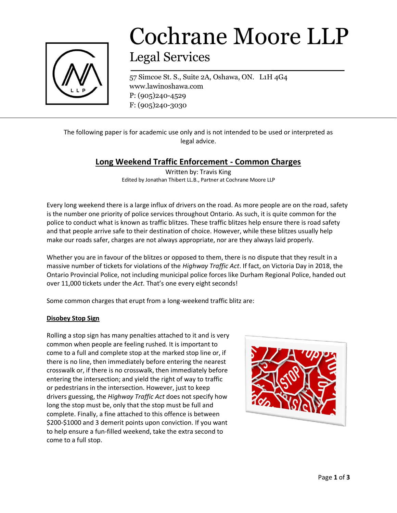

# Cochrane Moore LLP Legal Services

57 Simcoe St. S., Suite 2A, Oshawa, ON. L1H 4G4 www.lawinoshawa.com P: (905)240-4529 F: (905)240-3030

The following paper is for academic use only and is not intended to be used or interpreted as legal advice.

# **Long Weekend Traffic Enforcement - Common Charges**

Written by: Travis King Edited by Jonathan Thibert LL.B., Partner at Cochrane Moore LLP

Every long weekend there is a large influx of drivers on the road. As more people are on the road, safety is the number one priority of police services throughout Ontario. As such, it is quite common for the police to conduct what is known as traffic blitzes. These traffic blitzes help ensure there is road safety and that people arrive safe to their destination of choice. However, while these blitzes usually help make our roads safer, charges are not always appropriate, nor are they always laid properly.

Whether you are in favour of the blitzes or opposed to them, there is no dispute that they result in a massive number of tickets for violations of the *Highway Traffic Act*. If fact, on Victoria Day in 2018, the Ontario Provincial Police, not including municipal police forces like Durham Regional Police, handed out over 11,000 tickets under the *Act*. That's one every eight seconds!

Some common charges that erupt from a long-weekend traffic blitz are:

# **Disobey Stop Sign**

Rolling a stop sign has many penalties attached to it and is very common when people are feeling rushed. It is important to come to a full and complete stop at the marked stop line or, if there is no line, then immediately before entering the nearest crosswalk or, if there is no crosswalk, then immediately before entering the intersection; and yield the right of way to traffic or pedestrians in the intersection. However, just to keep drivers guessing, the *Highway Traffic Act* does not specify how long the stop must be, only that the stop must be full and complete. Finally, a fine attached to this offence is between \$200-\$1000 and 3 demerit points upon conviction. If you want to help ensure a fun-filled weekend, take the extra second to come to a full stop.

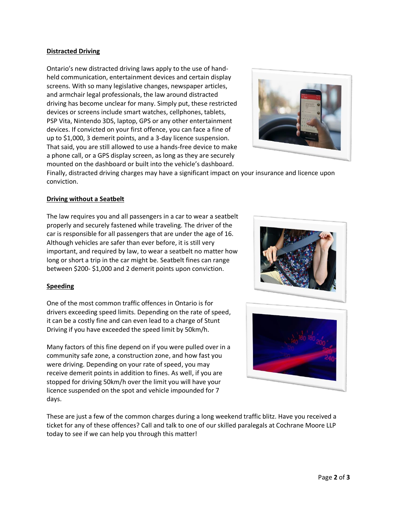# **Distracted Driving**

Ontario's new distracted driving laws apply to the use of handheld communication, entertainment devices and certain display screens. With so many legislative changes, newspaper articles, and armchair legal professionals, the law around distracted driving has become unclear for many. Simply put, these restricted devices or screens include smart watches, cellphones, tablets, PSP Vita, Nintendo 3DS, laptop, GPS or any other entertainment devices. If convicted on your first offence, you can face a fine of up to \$1,000, 3 demerit points, and a 3-day licence suspension. That said, you are still allowed to use a hands-free device to make a phone call, or a GPS display screen, as long as they are securely mounted on the dashboard or built into the vehicle's dashboard.



Finally, distracted driving charges may have a significant impact on your insurance and licence upon conviction.

# **Driving without a Seatbelt**

The law requires you and all passengers in a car to wear a seatbelt properly and securely fastened while traveling. The driver of the car is responsible for all passengers that are under the age of 16. Although vehicles are safer than ever before, it is still very important, and required by law, to wear a seatbelt no matter how long or short a trip in the car might be. Seatbelt fines can range between \$200- \$1,000 and 2 demerit points upon conviction.

# **Speeding**

One of the most common traffic offences in Ontario is for drivers exceeding speed limits. Depending on the rate of speed, it can be a costly fine and can even lead to a charge of Stunt Driving if you have exceeded the speed limit by 50km/h.

Many factors of this fine depend on if you were pulled over in a community safe zone, a construction zone, and how fast you were driving. Depending on your rate of speed, you may receive demerit points in addition to fines. As well, if you are stopped for driving 50km/h over the limit you will have your licence suspended on the spot and vehicle impounded for 7 days.





These are just a few of the common charges during a long weekend traffic blitz. Have you received a ticket for any of these offences? Call and talk to one of our skilled paralegals at Cochrane Moore LLP today to see if we can help you through this matter!